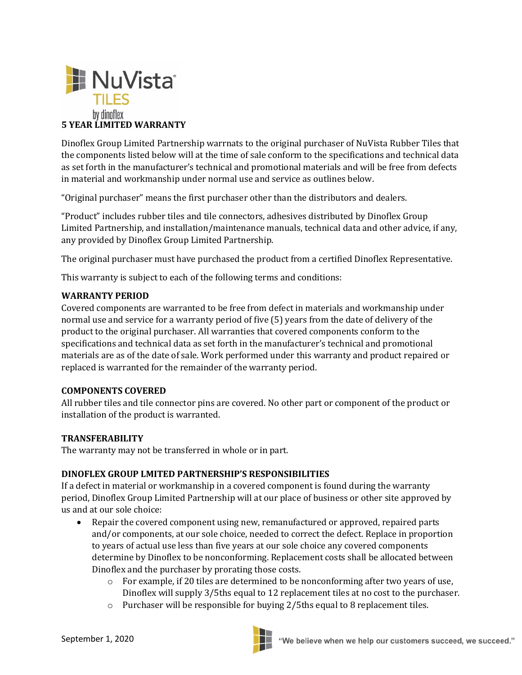

Dinoflex Group Limited Partnership warrnats to the original purchaser of NuVista Rubber Tiles that the components listed below will at the time of sale conform to the specifications and technical data as set forth in the manufacturer's technical and promotional materials and will be free from defects in material and workmanship under normal use and service as outlines below.

"Original purchaser" means the first purchaser other than the distributors and dealers.

"Product" includes rubber tiles and tile connectors, adhesives distributed by Dinoflex Group Limited Partnership, and installation/maintenance manuals, technical data and other advice, if any, any provided by Dinoflex Group Limited Partnership.

The original purchaser must have purchased the product from a certified Dinoflex Representative.

This warranty is subject to each of the following terms and conditions:

### **WARRANTY PERIOD**

Covered components are warranted to be free from defect in materials and workmanship under normal use and service for a warranty period of five (5) years from the date of delivery of the product to the original purchaser. All warranties that covered components conform to the specifications and technical data as set forth in the manufacturer's technical and promotional materials are as of the date of sale. Work performed under this warranty and product repaired or replaced is warranted for the remainder of the warranty period.

### **COMPONENTS COVERED**

All rubber tiles and tile connector pins are covered. No other part or component of the product or installation of the product is warranted.

#### **TRANSFERABILITY**

The warranty may not be transferred in whole or in part.

### **DINOFLEX GROUP LMITED PARTNERSHIP'S RESPONSIBILITIES**

If a defect in material or workmanship in a covered component is found during the warranty period, Dinoflex Group Limited Partnership will at our place of business or other site approved by us and at our sole choice:

- Repair the covered component using new, remanufactured or approved, repaired parts and/or components, at our sole choice, needed to correct the defect. Replace in proportion to years of actual use less than five years at our sole choice any covered components determine by Dinoflex to be nonconforming. Replacement costs shall be allocated between Dinoflex and the purchaser by prorating those costs.
	- o For example, if 20 tiles are determined to be nonconforming after two years of use, Dinoflex will supply 3/5ths equal to 12 replacement tiles at no cost to the purchaser.
	- o Purchaser will be responsible for buying 2/5ths equal to 8 replacement tiles.

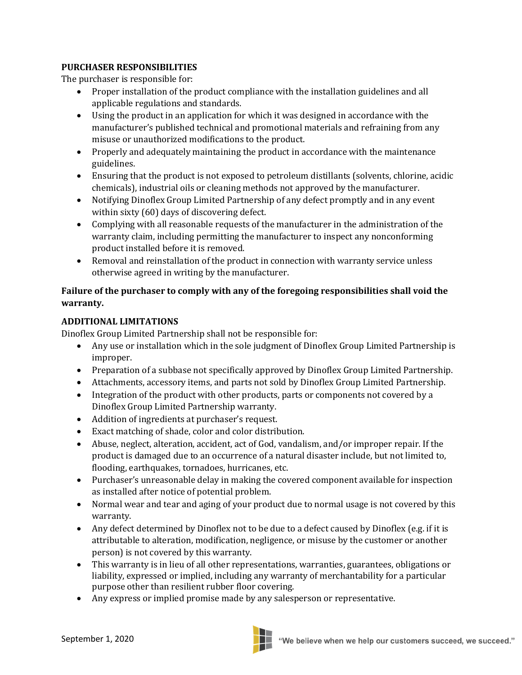## **PURCHASER RESPONSIBILITIES**

The purchaser is responsible for:

- Proper installation of the product compliance with the installation guidelines and all applicable regulations and standards.
- Using the product in an application for which it was designed in accordance with the manufacturer's published technical and promotional materials and refraining from any misuse or unauthorized modifications to the product.
- Properly and adequately maintaining the product in accordance with the maintenance guidelines.
- Ensuring that the product is not exposed to petroleum distillants (solvents, chlorine, acidic chemicals), industrial oils or cleaning methods not approved by the manufacturer.
- Notifying Dinoflex Group Limited Partnership of any defect promptly and in any event within sixty (60) days of discovering defect.
- Complying with all reasonable requests of the manufacturer in the administration of the warranty claim, including permitting the manufacturer to inspect any nonconforming product installed before it is removed.
- Removal and reinstallation of the product in connection with warranty service unless otherwise agreed in writing by the manufacturer.

# **Failure of the purchaser to comply with any of the foregoing responsibilities shall void the warranty.**

## **ADDITIONAL LIMITATIONS**

Dinoflex Group Limited Partnership shall not be responsible for:

- Any use or installation which in the sole judgment of Dinoflex Group Limited Partnership is improper.
- Preparation of a subbase not specifically approved by Dinoflex Group Limited Partnership.
- Attachments, accessory items, and parts not sold by Dinoflex Group Limited Partnership.
- Integration of the product with other products, parts or components not covered by a Dinoflex Group Limited Partnership warranty.
- Addition of ingredients at purchaser's request.
- Exact matching of shade, color and color distribution.
- Abuse, neglect, alteration, accident, act of God, vandalism, and/or improper repair. If the product is damaged due to an occurrence of a natural disaster include, but not limited to, flooding, earthquakes, tornadoes, hurricanes, etc.
- Purchaser's unreasonable delay in making the covered component available for inspection as installed after notice of potential problem.
- Normal wear and tear and aging of your product due to normal usage is not covered by this warranty.
- Any defect determined by Dinoflex not to be due to a defect caused by Dinoflex (e.g. if it is attributable to alteration, modification, negligence, or misuse by the customer or another person) is not covered by this warranty.
- This warranty is in lieu of all other representations, warranties, guarantees, obligations or liability, expressed or implied, including any warranty of merchantability for a particular purpose other than resilient rubber floor covering.
- Any express or implied promise made by any salesperson or representative.

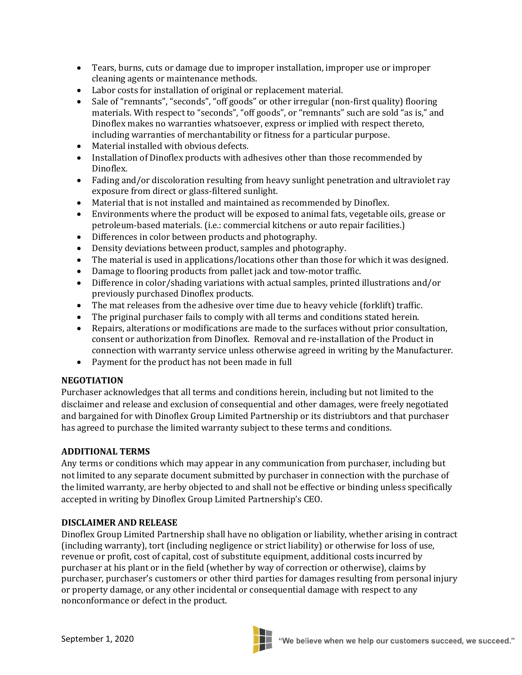- Tears, burns, cuts or damage due to improper installation, improper use or improper cleaning agents or maintenance methods.
- Labor costs for installation of original or replacement material.
- Sale of "remnants", "seconds", "off goods" or other irregular (non-first quality) flooring materials. With respect to "seconds", "off goods", or "remnants" such are sold "as is," and Dinoflex makes no warranties whatsoever, express or implied with respect thereto, including warranties of merchantability or fitness for a particular purpose.
- Material installed with obvious defects.
- Installation of Dinoflex products with adhesives other than those recommended by Dinoflex.
- Fading and/or discoloration resulting from heavy sunlight penetration and ultraviolet ray exposure from direct or glass-filtered sunlight.
- Material that is not installed and maintained as recommended by Dinoflex.
- Environments where the product will be exposed to animal fats, vegetable oils, grease or petroleum-based materials. (i.e.: commercial kitchens or auto repair facilities.)
- Differences in color between products and photography.
- Density deviations between product, samples and photography.
- The material is used in applications/locations other than those for which it was designed.
- Damage to flooring products from pallet jack and tow-motor traffic.
- Difference in color/shading variations with actual samples, printed illustrations and/or previously purchased Dinoflex products.
- The mat releases from the adhesive over time due to heavy vehicle (forklift) traffic.
- The priginal purchaser fails to comply with all terms and conditions stated herein.
- Repairs, alterations or modifications are made to the surfaces without prior consultation, consent or authorization from Dinoflex. Removal and re-installation of the Product in connection with warranty service unless otherwise agreed in writing by the Manufacturer.
- Payment for the product has not been made in full

## **NEGOTIATION**

Purchaser acknowledges that all terms and conditions herein, including but not limited to the disclaimer and release and exclusion of consequential and other damages, were freely negotiated and bargained for with Dinoflex Group Limited Partnership or its distriubtors and that purchaser has agreed to purchase the limited warranty subject to these terms and conditions.

## **ADDITIONAL TERMS**

Any terms or conditions which may appear in any communication from purchaser, including but not limited to any separate document submitted by purchaser in connection with the purchase of the limited warranty, are herby objected to and shall not be effective or binding unless specifically accepted in writing by Dinoflex Group Limited Partnership's CEO.

## **DISCLAIMER AND RELEASE**

Dinoflex Group Limited Partnership shall have no obligation or liability, whether arising in contract (including warranty), tort (including negligence or strict liability) or otherwise for loss of use, revenue or profit, cost of capital, cost of substitute equipment, additional costs incurred by purchaser at his plant or in the field (whether by way of correction or otherwise), claims by purchaser, purchaser's customers or other third parties for damages resulting from personal injury or property damage, or any other incidental or consequential damage with respect to any nonconformance or defect in the product.